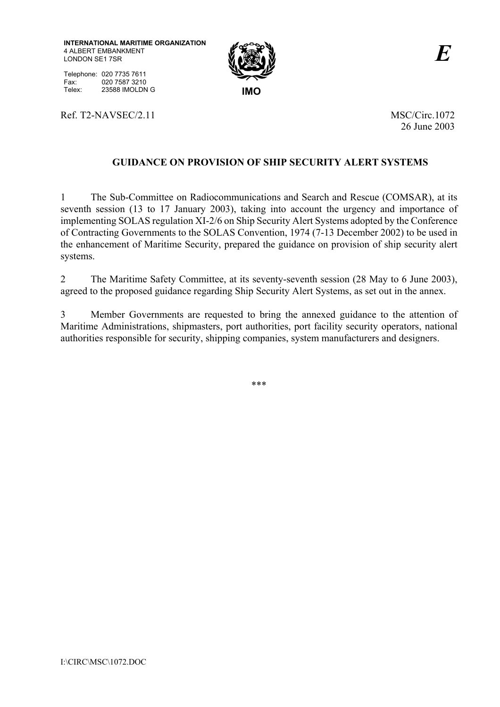**INTERNATIONAL MARITIME ORGANIZATION** 4 ALBERT EMBANKMENT LONDON SE1 7SR



Telephone: 020 7735 7611 Fax: 020 7587 3210<br>Telex: 23588 IMOLDN Telex: 23588 IMOLDN G **IMO** 

Ref. T2-NAVSEC/2.11 MSC/Circ.1072

26 June 2003

## **GUIDANCE ON PROVISION OF SHIP SECURITY ALERT SYSTEMS**

1 The Sub-Committee on Radiocommunications and Search and Rescue (COMSAR), at its seventh session (13 to 17 January 2003), taking into account the urgency and importance of implementing SOLAS regulation XI-2/6 on Ship Security Alert Systems adopted by the Conference of Contracting Governments to the SOLAS Convention, 1974 (7-13 December 2002) to be used in the enhancement of Maritime Security, prepared the guidance on provision of ship security alert systems.

2 The Maritime Safety Committee, at its seventy-seventh session (28 May to 6 June 2003), agreed to the proposed guidance regarding Ship Security Alert Systems, as set out in the annex.

3 Member Governments are requested to bring the annexed guidance to the attention of Maritime Administrations, shipmasters, port authorities, port facility security operators, national authorities responsible for security, shipping companies, system manufacturers and designers.

\*\*\*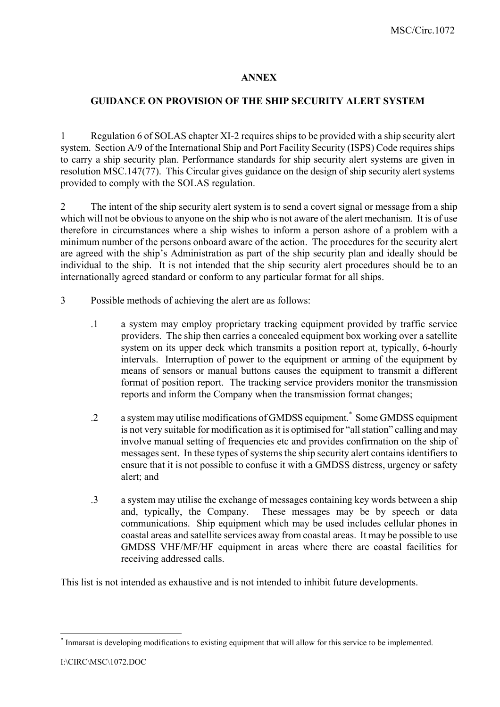## **ANNEX**

## **GUIDANCE ON PROVISION OF THE SHIP SECURITY ALERT SYSTEM**

1 Regulation 6 of SOLAS chapter XI-2 requires ships to be provided with a ship security alert system. Section A/9 of the International Ship and Port Facility Security (ISPS) Code requires ships to carry a ship security plan. Performance standards for ship security alert systems are given in resolution MSC.147(77). This Circular gives guidance on the design of ship security alert systems provided to comply with the SOLAS regulation.

2 The intent of the ship security alert system is to send a covert signal or message from a ship which will not be obvious to anyone on the ship who is not aware of the alert mechanism. It is of use therefore in circumstances where a ship wishes to inform a person ashore of a problem with a minimum number of the persons onboard aware of the action. The procedures for the security alert are agreed with the ship's Administration as part of the ship security plan and ideally should be individual to the ship. It is not intended that the ship security alert procedures should be to an internationally agreed standard or conform to any particular format for all ships.

- 3 Possible methods of achieving the alert are as follows:
	- .1 a system may employ proprietary tracking equipment provided by traffic service providers. The ship then carries a concealed equipment box working over a satellite system on its upper deck which transmits a position report at, typically, 6-hourly intervals. Interruption of power to the equipment or arming of the equipment by means of sensors or manual buttons causes the equipment to transmit a different format of position report. The tracking service providers monitor the transmission reports and inform the Company when the transmission format changes;
	- .2 a system may utilise modifications of GMDSS equipment.\* Some GMDSS equipment is not very suitable for modification as it is optimised for "all station" calling and may involve manual setting of frequencies etc and provides confirmation on the ship of messages sent. In these types of systems the ship security alert contains identifiers to ensure that it is not possible to confuse it with a GMDSS distress, urgency or safety alert; and
	- .3 a system may utilise the exchange of messages containing key words between a ship and, typically, the Company. These messages may be by speech or data communications. Ship equipment which may be used includes cellular phones in coastal areas and satellite services away from coastal areas. It may be possible to use GMDSS VHF/MF/HF equipment in areas where there are coastal facilities for receiving addressed calls.

This list is not intended as exhaustive and is not intended to inhibit future developments.

 $\overline{a}$ \* Inmarsat is developing modifications to existing equipment that will allow for this service to be implemented.